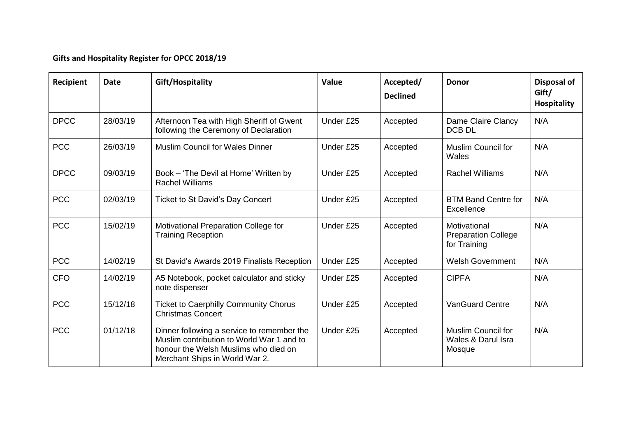## **Gifts and Hospitality Register for OPCC 2018/19**

| Recipient   | <b>Date</b> | Gift/Hospitality                                                                                                                                                  | Value     | Accepted/<br><b>Declined</b> | <b>Donor</b>                                               | Disposal of<br>Gift/<br><b>Hospitality</b> |
|-------------|-------------|-------------------------------------------------------------------------------------------------------------------------------------------------------------------|-----------|------------------------------|------------------------------------------------------------|--------------------------------------------|
| <b>DPCC</b> | 28/03/19    | Afternoon Tea with High Sheriff of Gwent<br>following the Ceremony of Declaration                                                                                 | Under £25 | Accepted                     | Dame Claire Clancy<br>DCB DL                               | N/A                                        |
| <b>PCC</b>  | 26/03/19    | <b>Muslim Council for Wales Dinner</b>                                                                                                                            | Under £25 | Accepted                     | <b>Muslim Council for</b><br>Wales                         | N/A                                        |
| <b>DPCC</b> | 09/03/19    | Book - 'The Devil at Home' Written by<br><b>Rachel Williams</b>                                                                                                   | Under £25 | Accepted                     | <b>Rachel Williams</b>                                     | N/A                                        |
| <b>PCC</b>  | 02/03/19    | Ticket to St David's Day Concert                                                                                                                                  | Under £25 | Accepted                     | <b>BTM Band Centre for</b><br>Excellence                   | N/A                                        |
| <b>PCC</b>  | 15/02/19    | Motivational Preparation College for<br><b>Training Reception</b>                                                                                                 | Under £25 | Accepted                     | Motivational<br><b>Preparation College</b><br>for Training | N/A                                        |
| <b>PCC</b>  | 14/02/19    | St David's Awards 2019 Finalists Reception                                                                                                                        | Under £25 | Accepted                     | <b>Welsh Government</b>                                    | N/A                                        |
| <b>CFO</b>  | 14/02/19    | A5 Notebook, pocket calculator and sticky<br>note dispenser                                                                                                       | Under £25 | Accepted                     | <b>CIPFA</b>                                               | N/A                                        |
| <b>PCC</b>  | 15/12/18    | <b>Ticket to Caerphilly Community Chorus</b><br><b>Christmas Concert</b>                                                                                          | Under £25 | Accepted                     | <b>VanGuard Centre</b>                                     | N/A                                        |
| <b>PCC</b>  | 01/12/18    | Dinner following a service to remember the<br>Muslim contribution to World War 1 and to<br>honour the Welsh Muslims who died on<br>Merchant Ships in World War 2. | Under £25 | Accepted                     | <b>Muslim Council for</b><br>Wales & Darul Isra<br>Mosque  | N/A                                        |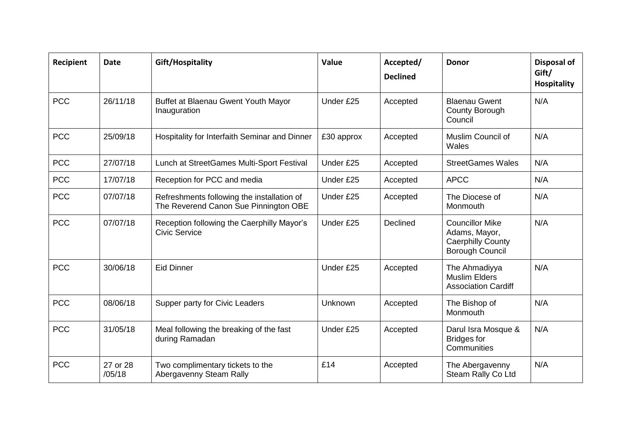| Recipient  | <b>Date</b>        | Gift/Hospitality                                                                    | Value      | Accepted/<br><b>Declined</b> | <b>Donor</b>                                                                                  | <b>Disposal of</b><br>Gift/<br><b>Hospitality</b> |
|------------|--------------------|-------------------------------------------------------------------------------------|------------|------------------------------|-----------------------------------------------------------------------------------------------|---------------------------------------------------|
| <b>PCC</b> | 26/11/18           | Buffet at Blaenau Gwent Youth Mayor<br>Inauguration                                 | Under £25  | Accepted                     | <b>Blaenau Gwent</b><br><b>County Borough</b><br>Council                                      | N/A                                               |
| <b>PCC</b> | 25/09/18           | Hospitality for Interfaith Seminar and Dinner                                       | £30 approx | Accepted                     | Muslim Council of<br>Wales                                                                    | N/A                                               |
| <b>PCC</b> | 27/07/18           | Lunch at StreetGames Multi-Sport Festival                                           | Under £25  | Accepted                     | <b>StreetGames Wales</b>                                                                      | N/A                                               |
| <b>PCC</b> | 17/07/18           | Reception for PCC and media                                                         | Under £25  | Accepted                     | <b>APCC</b>                                                                                   | N/A                                               |
| <b>PCC</b> | 07/07/18           | Refreshments following the installation of<br>The Reverend Canon Sue Pinnington OBE | Under £25  | Accepted                     | The Diocese of<br>Monmouth                                                                    | N/A                                               |
| <b>PCC</b> | 07/07/18           | Reception following the Caerphilly Mayor's<br><b>Civic Service</b>                  | Under £25  | Declined                     | <b>Councillor Mike</b><br>Adams, Mayor,<br><b>Caerphilly County</b><br><b>Borough Council</b> | N/A                                               |
| <b>PCC</b> | 30/06/18           | <b>Eid Dinner</b>                                                                   | Under £25  | Accepted                     | The Ahmadiyya<br><b>Muslim Elders</b><br><b>Association Cardiff</b>                           | N/A                                               |
| <b>PCC</b> | 08/06/18           | Supper party for Civic Leaders                                                      | Unknown    | Accepted                     | The Bishop of<br>Monmouth                                                                     | N/A                                               |
| <b>PCC</b> | 31/05/18           | Meal following the breaking of the fast<br>during Ramadan                           | Under £25  | Accepted                     | Darul Isra Mosque &<br><b>Bridges for</b><br>Communities                                      | N/A                                               |
| <b>PCC</b> | 27 or 28<br>/05/18 | Two complimentary tickets to the<br>Abergavenny Steam Rally                         | £14        | Accepted                     | The Abergavenny<br>Steam Rally Co Ltd                                                         | N/A                                               |